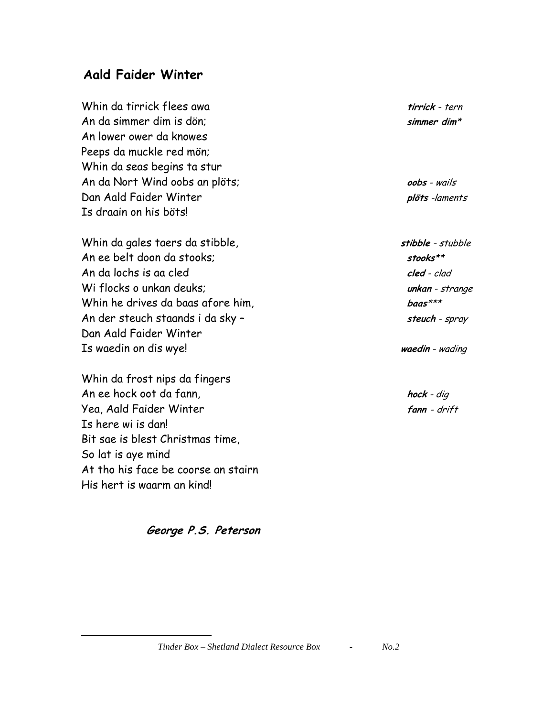## **Aald Faider Winter**

Whin da tirrick flees awa **tirrick** - tern An da simmer dim is dön; **simmer dim**\* An lower ower da knowes Peeps da muckle red mön; Whin da seas begins ta stur An da Nort Wind oobs an plöts; **oobs** - wails Dan Aald Faider Winter **plöts** -laments Is draain on his böts!

Whin da gales taers da stibble, **stibble** - stubble An ee belt doon da stooks; **stooks**\*\* An da lochs is aa cled **cled** - clad Wi flocks o unkan deuks; **unkan** - strange Whin he drives da baas afore him, **baas**\*\*\* An der steuch staands i da sky – **steuch** - spray Dan Aald Faider Winter Is waedin on dis wye! **waedin** - wading

Whin da frost nips da fingers An ee hock oot da fann, **hock** - dig Yea, Aald Faider Winter **fann** - drift Is here wi is dan! Bit sae is blest Christmas time, So lat is aye mind At tho his face be coorse an stairn His hert is waarm an kind!

 $\overline{a}$ 

## **George P.S. Peterson**